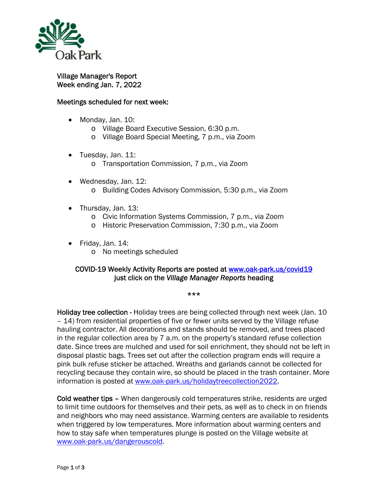

Village Manager's Report Week ending Jan. 7, 2022

## Meetings scheduled for next week:

- Monday, Jan. 10:
	- o Village Board Executive Session, 6:30 p.m.
	- o Village Board Special Meeting, 7 p.m., via Zoom
- Tuesday, Jan. 11:
	- o Transportation Commission, 7 p.m., via Zoom
- Wednesday, Jan. 12: o Building Codes Advisory Commission, 5:30 p.m., via Zoom
- Thursday, Jan. 13:
	- o Civic Information Systems Commission, 7 p.m., via Zoom
	- o Historic Preservation Commission, 7:30 p.m., via Zoom
- $\bullet$  Friday, Jan. 14:
	- o No meetings scheduled

## COVID-19 Weekly Activity Reports are posted at www.oak-park.us/covid19 just click on the *Village Manager Reports* heading

## \*\*\*

Holiday tree collection - Holiday trees are being collected through next week (Jan. 10 – 14) from residential properties of five or fewer units served by the Village refuse hauling contractor. All decorations and stands should be removed, and trees placed in the regular collection area by 7 a.m. on the property's standard refuse collection date. Since trees are mulched and used for soil enrichment, they should not be left in disposal plastic bags. Trees set out after the collection program ends will require a pink bulk refuse sticker be attached. Wreaths and garlands cannot be collected for recycling because they contain wire, so should be placed in the trash container. More information is posted at www.oak-park.us/holidaytreecollection2022.

Cold weather tips – When dangerously cold temperatures strike, residents are urged to limit time outdoors for themselves and their pets, as well as to check in on friends and neighbors who may need assistance. Warming centers are available to residents when triggered by low temperatures. More information about warming centers and how to stay safe when temperatures plunge is posted on the Village website at www.oak-park.us/dangerouscold.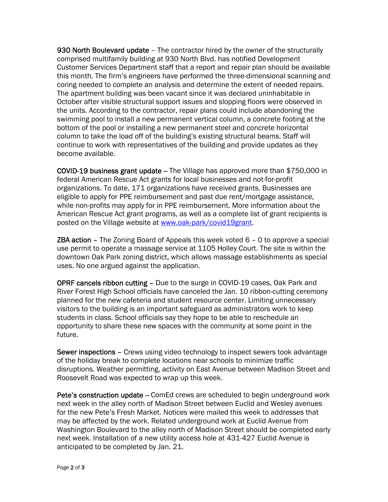930 North Boulevard update - The contractor hired by the owner of the structurally comprised multifamily building at 930 North Blvd. has notified Development Customer Services Department staff that a report and repair plan should be available this month. The firm's engineers have performed the three-dimensional scanning and coring needed to complete an analysis and determine the extent of needed repairs. The apartment building was been vacant since it was declared uninhabitable in October after visible structural support issues and slopping floors were observed in the units. According to the contractor, repair plans could include abandoning the swimming pool to install a new permanent vertical column, a concrete footing at the bottom of the pool or installing a new permanent steel and concrete horizontal column to take the load off of the building's existing structural beams. Staff will continue to work with representatives of the building and provide updates as they become available.

**COVID-19 business grant update –** The Village has approved more than \$750,000 in federal American Rescue Act grants for local businesses and not-for-profit organizations. To date, 171 organizations have received grants. Businesses are eligible to apply for PPE reimbursement and past due rent/mortgage assistance, while non-profits may apply for in PPE reimbursement. More information about the American Rescue Act grant programs, as well as a complete list of grant recipients is posted on the Village website at www.oak-park/covid19grant.

**ZBA action –** The Zoning Board of Appeals this week voted  $6 - 0$  to approve a special use permit to operate a massage service at 1105 Holley Court. The site is within the downtown Oak Park zoning district, which allows massage establishments as special uses. No one argued against the application.

OPRF cancels ribbon cutting – Due to the surge in COVID-19 cases, Oak Park and River Forest High School officials have canceled the Jan. 10 ribbon-cutting ceremony planned for the new cafeteria and student resource center. Limiting unnecessary visitors to the building is an important safeguard as administrators work to keep students in class. School officials say they hope to be able to reschedule an opportunity to share these new spaces with the community at some point in the future.

Sewer inspections - Crews using video technology to inspect sewers took advantage of the holiday break to complete locations near schools to minimize traffic disruptions. Weather permitting, activity on East Avenue between Madison Street and Roosevelt Road was expected to wrap up this week.

Pete's construction update – ComEd crews are scheduled to begin underground work next week in the alley north of Madison Street between Euclid and Wesley avenues for the new Pete's Fresh Market. Notices were mailed this week to addresses that may be affected by the work. Related underground work at Euclid Avenue from Washington Boulevard to the alley north of Madison Street should be completed early next week. Installation of a new utility access hole at 431-427 Euclid Avenue is anticipated to be completed by Jan. 21.